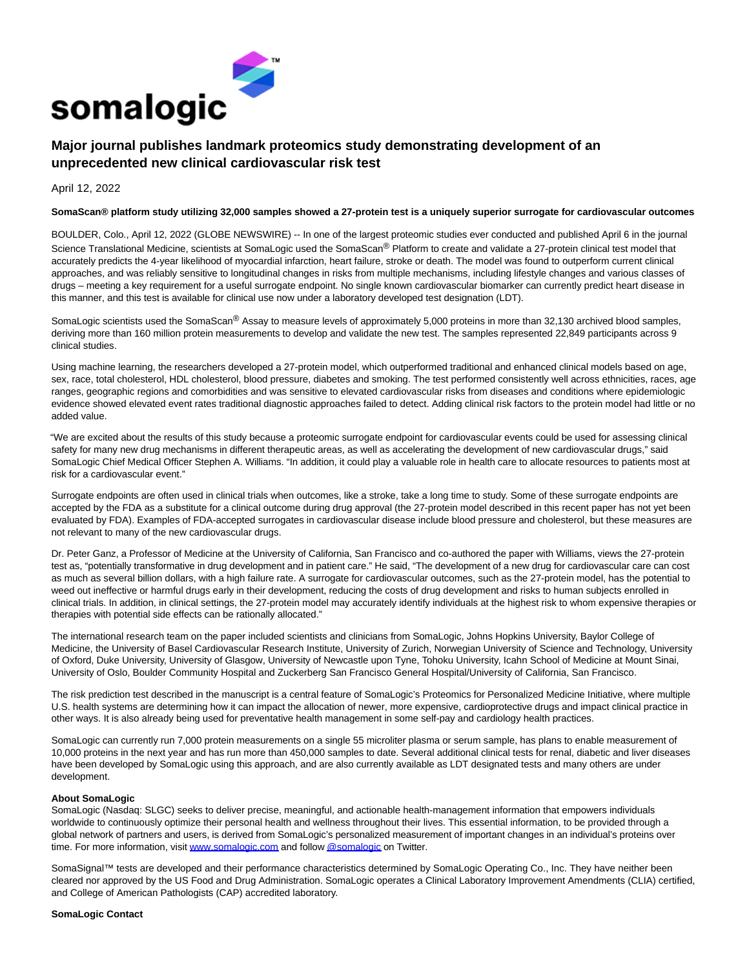

# **Major journal publishes landmark proteomics study demonstrating development of an unprecedented new clinical cardiovascular risk test**

## April 12, 2022

#### **SomaScan® platform study utilizing 32,000 samples showed a 27-protein test is a uniquely superior surrogate for cardiovascular outcomes**

BOULDER, Colo., April 12, 2022 (GLOBE NEWSWIRE) -- In one of the largest proteomic studies ever conducted and published April 6 in the journal Science Translational Medicine, scientists at SomaLogic used the SomaScan® Platform to create and validate a 27-protein clinical test model that accurately predicts the 4-year likelihood of myocardial infarction, heart failure, stroke or death. The model was found to outperform current clinical approaches, and was reliably sensitive to longitudinal changes in risks from multiple mechanisms, including lifestyle changes and various classes of drugs – meeting a key requirement for a useful surrogate endpoint. No single known cardiovascular biomarker can currently predict heart disease in this manner, and this test is available for clinical use now under a laboratory developed test designation (LDT).

SomaLogic scientists used the SomaScan<sup>®</sup> Assay to measure levels of approximately 5,000 proteins in more than 32,130 archived blood samples, deriving more than 160 million protein measurements to develop and validate the new test. The samples represented 22,849 participants across 9 clinical studies.

Using machine learning, the researchers developed a 27-protein model, which outperformed traditional and enhanced clinical models based on age, sex, race, total cholesterol, HDL cholesterol, blood pressure, diabetes and smoking. The test performed consistently well across ethnicities, races, age ranges, geographic regions and comorbidities and was sensitive to elevated cardiovascular risks from diseases and conditions where epidemiologic evidence showed elevated event rates traditional diagnostic approaches failed to detect. Adding clinical risk factors to the protein model had little or no added value.

"We are excited about the results of this study because a proteomic surrogate endpoint for cardiovascular events could be used for assessing clinical safety for many new drug mechanisms in different therapeutic areas, as well as accelerating the development of new cardiovascular drugs," said SomaLogic Chief Medical Officer Stephen A. Williams. "In addition, it could play a valuable role in health care to allocate resources to patients most at risk for a cardiovascular event."

Surrogate endpoints are often used in clinical trials when outcomes, like a stroke, take a long time to study. Some of these surrogate endpoints are accepted by the FDA as a substitute for a clinical outcome during drug approval (the 27-protein model described in this recent paper has not yet been evaluated by FDA). Examples of FDA-accepted surrogates in cardiovascular disease include blood pressure and cholesterol, but these measures are not relevant to many of the new cardiovascular drugs.

Dr. Peter Ganz, a Professor of Medicine at the University of California, San Francisco and co-authored the paper with Williams, views the 27-protein test as, "potentially transformative in drug development and in patient care." He said, "The development of a new drug for cardiovascular care can cost as much as several billion dollars, with a high failure rate. A surrogate for cardiovascular outcomes, such as the 27-protein model, has the potential to weed out ineffective or harmful drugs early in their development, reducing the costs of drug development and risks to human subjects enrolled in clinical trials. In addition, in clinical settings, the 27-protein model may accurately identify individuals at the highest risk to whom expensive therapies or therapies with potential side effects can be rationally allocated."

The international research team on the paper included scientists and clinicians from SomaLogic, Johns Hopkins University, Baylor College of Medicine, the University of Basel Cardiovascular Research Institute, University of Zurich, Norwegian University of Science and Technology, University of Oxford, Duke University, University of Glasgow, University of Newcastle upon Tyne, Tohoku University, Icahn School of Medicine at Mount Sinai, University of Oslo, Boulder Community Hospital and Zuckerberg San Francisco General Hospital/University of California, San Francisco.

The risk prediction test described in the manuscript is a central feature of SomaLogic's Proteomics for Personalized Medicine Initiative, where multiple U.S. health systems are determining how it can impact the allocation of newer, more expensive, cardioprotective drugs and impact clinical practice in other ways. It is also already being used for preventative health management in some self-pay and cardiology health practices.

SomaLogic can currently run 7,000 protein measurements on a single 55 microliter plasma or serum sample, has plans to enable measurement of 10,000 proteins in the next year and has run more than 450,000 samples to date. Several additional clinical tests for renal, diabetic and liver diseases have been developed by SomaLogic using this approach, and are also currently available as LDT designated tests and many others are under development.

#### **About SomaLogic**

SomaLogic (Nasdaq: SLGC) seeks to deliver precise, meaningful, and actionable health-management information that empowers individuals worldwide to continuously optimize their personal health and wellness throughout their lives. This essential information, to be provided through a global network of partners and users, is derived from SomaLogic's personalized measurement of important changes in an individual's proteins over time. For more information, visi[t www.somalogic.com a](https://www.globenewswire.com/Tracker?data=N_T4BGdEOSeYeq55tP5HFkwVptedbXQSPf6UhgJKsfac_6cnoq3eneZ6JEnxwYfCLxZHibYYWAEy9jGAudsJpg==)nd follo[w @somalogic o](https://www.globenewswire.com/Tracker?data=hUBnNNslfVfVa078SZikT1gyTyLOVxmbCRJU0Mb4xvSrEY_M6xxn-km0MQb2d9W7Ae6tm6Rx8OOXpLLxLrxECQ==)n Twitter.

SomaSignal™ tests are developed and their performance characteristics determined by SomaLogic Operating Co., Inc. They have neither been cleared nor approved by the US Food and Drug Administration. SomaLogic operates a Clinical Laboratory Improvement Amendments (CLIA) certified, and College of American Pathologists (CAP) accredited laboratory.

### **SomaLogic Contact**